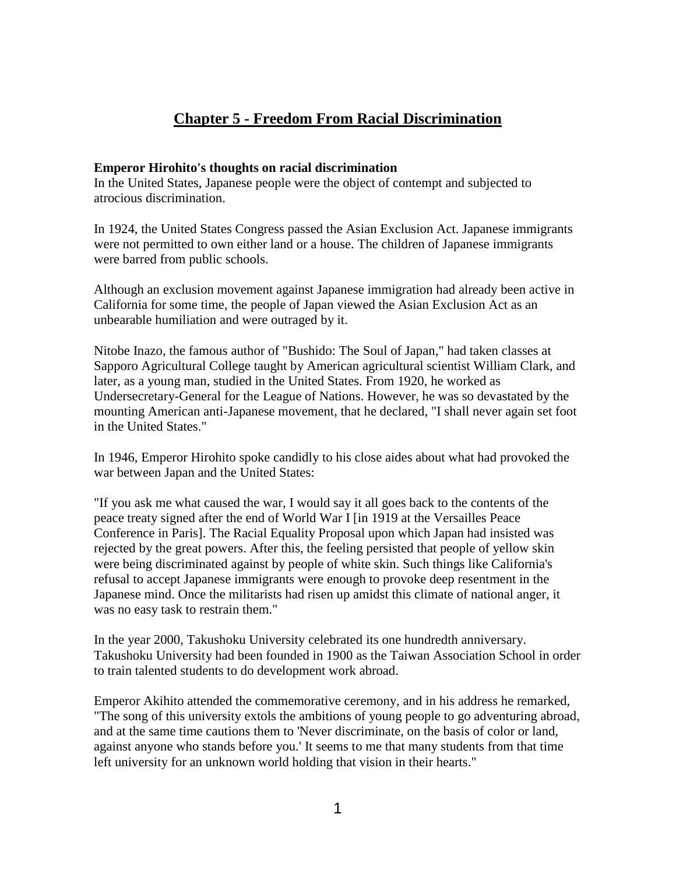# **Chapter 5 - Freedom From Racial Discrimination**

### **Emperor Hirohito's thoughts on racial discrimination**

In the United States, Japanese people were the object of contempt and subjected to atrocious discrimination.

In 1924, the United States Congress passed the Asian Exclusion Act. Japanese immigrants were not permitted to own either land or a house. The children of Japanese immigrants were barred from public schools.

Although an exclusion movement against Japanese immigration had already been active in California for some time, the people of Japan viewed the Asian Exclusion Act as an unbearable humiliation and were outraged by it.

Nitobe Inazo, the famous author of "Bushido: The Soul of Japan," had taken classes at Sapporo Agricultural College taught by American agricultural scientist William Clark, and later, as a young man, studied in the United States. From 1920, he worked as Undersecretary-General for the League of Nations. However, he was so devastated by the mounting American anti-Japanese movement, that he declared, "I shall never again set foot in the United States."

In 1946, Emperor Hirohito spoke candidly to his close aides about what had provoked the war between Japan and the United States:

"If you ask me what caused the war, I would say it all goes back to the contents of the peace treaty signed after the end of World War I [in 1919 at the Versailles Peace Conference in Paris]. The Racial Equality Proposal upon which Japan had insisted was rejected by the great powers. After this, the feeling persisted that people of yellow skin were being discriminated against by people of white skin. Such things like California's refusal to accept Japanese immigrants were enough to provoke deep resentment in the Japanese mind. Once the militarists had risen up amidst this climate of national anger, it was no easy task to restrain them."

In the year 2000, Takushoku University celebrated its one hundredth anniversary. Takushoku University had been founded in 1900 as the Taiwan Association School in order to train talented students to do development work abroad.

Emperor Akihito attended the commemorative ceremony, and in his address he remarked, "The song of this university extols the ambitions of young people to go adventuring abroad, and at the same time cautions them to 'Never discriminate, on the basis of color or land, against anyone who stands before you.' It seems to me that many students from that time left university for an unknown world holding that vision in their hearts."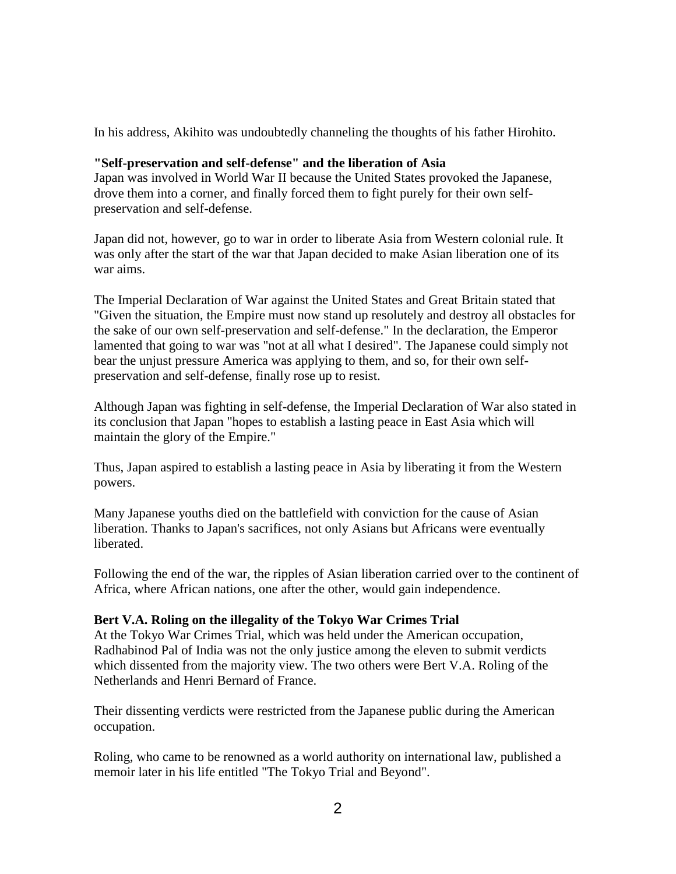In his address, Akihito was undoubtedly channeling the thoughts of his father Hirohito.

## **"Self-preservation and self-defense" and the liberation of Asia**

Japan was involved in World War II because the United States provoked the Japanese, drove them into a corner, and finally forced them to fight purely for their own selfpreservation and self-defense.

Japan did not, however, go to war in order to liberate Asia from Western colonial rule. It was only after the start of the war that Japan decided to make Asian liberation one of its war aims.

The Imperial Declaration of War against the United States and Great Britain stated that "Given the situation, the Empire must now stand up resolutely and destroy all obstacles for the sake of our own self-preservation and self-defense." In the declaration, the Emperor lamented that going to war was "not at all what I desired". The Japanese could simply not bear the unjust pressure America was applying to them, and so, for their own selfpreservation and self-defense, finally rose up to resist.

Although Japan was fighting in self-defense, the Imperial Declaration of War also stated in its conclusion that Japan "hopes to establish a lasting peace in East Asia which will maintain the glory of the Empire."

Thus, Japan aspired to establish a lasting peace in Asia by liberating it from the Western powers.

Many Japanese youths died on the battlefield with conviction for the cause of Asian liberation. Thanks to Japan's sacrifices, not only Asians but Africans were eventually liberated.

Following the end of the war, the ripples of Asian liberation carried over to the continent of Africa, where African nations, one after the other, would gain independence.

## **Bert V.A. Roling on the illegality of the Tokyo War Crimes Trial**

At the Tokyo War Crimes Trial, which was held under the American occupation, Radhabinod Pal of India was not the only justice among the eleven to submit verdicts which dissented from the majority view. The two others were Bert V.A. Roling of the Netherlands and Henri Bernard of France.

Their dissenting verdicts were restricted from the Japanese public during the American occupation.

Roling, who came to be renowned as a world authority on international law, published a memoir later in his life entitled "The Tokyo Trial and Beyond".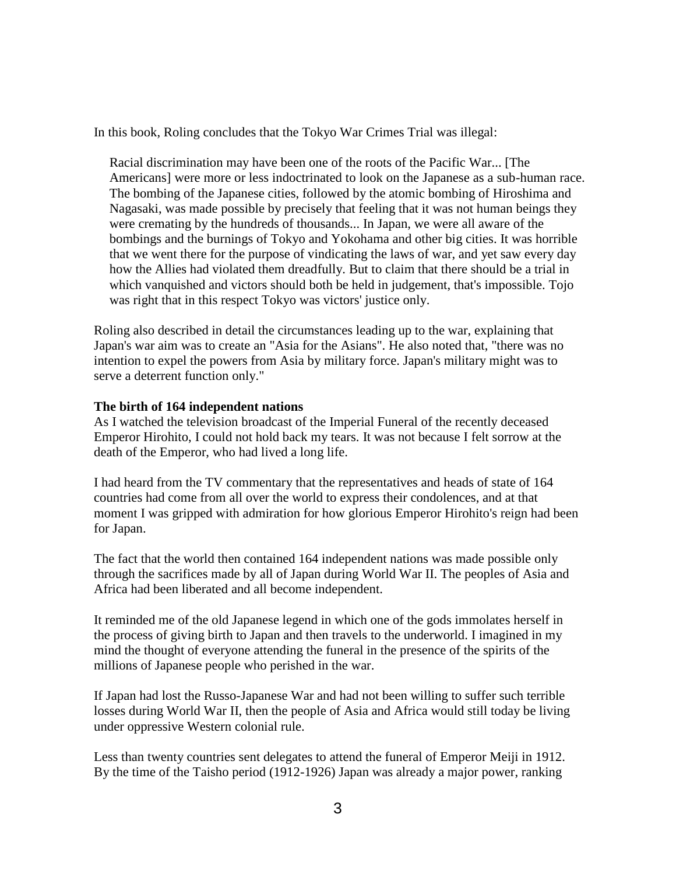In this book, Roling concludes that the Tokyo War Crimes Trial was illegal:

Racial discrimination may have been one of the roots of the Pacific War... [The Americans] were more or less indoctrinated to look on the Japanese as a sub-human race. The bombing of the Japanese cities, followed by the atomic bombing of Hiroshima and Nagasaki, was made possible by precisely that feeling that it was not human beings they were cremating by the hundreds of thousands... In Japan, we were all aware of the bombings and the burnings of Tokyo and Yokohama and other big cities. It was horrible that we went there for the purpose of vindicating the laws of war, and yet saw every day how the Allies had violated them dreadfully. But to claim that there should be a trial in which vanquished and victors should both be held in judgement, that's impossible. Tojo was right that in this respect Tokyo was victors' justice only.

Roling also described in detail the circumstances leading up to the war, explaining that Japan's war aim was to create an "Asia for the Asians". He also noted that, "there was no intention to expel the powers from Asia by military force. Japan's military might was to serve a deterrent function only."

## **The birth of 164 independent nations**

As I watched the television broadcast of the Imperial Funeral of the recently deceased Emperor Hirohito, I could not hold back my tears. It was not because I felt sorrow at the death of the Emperor, who had lived a long life.

I had heard from the TV commentary that the representatives and heads of state of 164 countries had come from all over the world to express their condolences, and at that moment I was gripped with admiration for how glorious Emperor Hirohito's reign had been for Japan.

The fact that the world then contained 164 independent nations was made possible only through the sacrifices made by all of Japan during World War II. The peoples of Asia and Africa had been liberated and all become independent.

It reminded me of the old Japanese legend in which one of the gods immolates herself in the process of giving birth to Japan and then travels to the underworld. I imagined in my mind the thought of everyone attending the funeral in the presence of the spirits of the millions of Japanese people who perished in the war.

If Japan had lost the Russo-Japanese War and had not been willing to suffer such terrible losses during World War II, then the people of Asia and Africa would still today be living under oppressive Western colonial rule.

Less than twenty countries sent delegates to attend the funeral of Emperor Meiji in 1912. By the time of the Taisho period (1912-1926) Japan was already a major power, ranking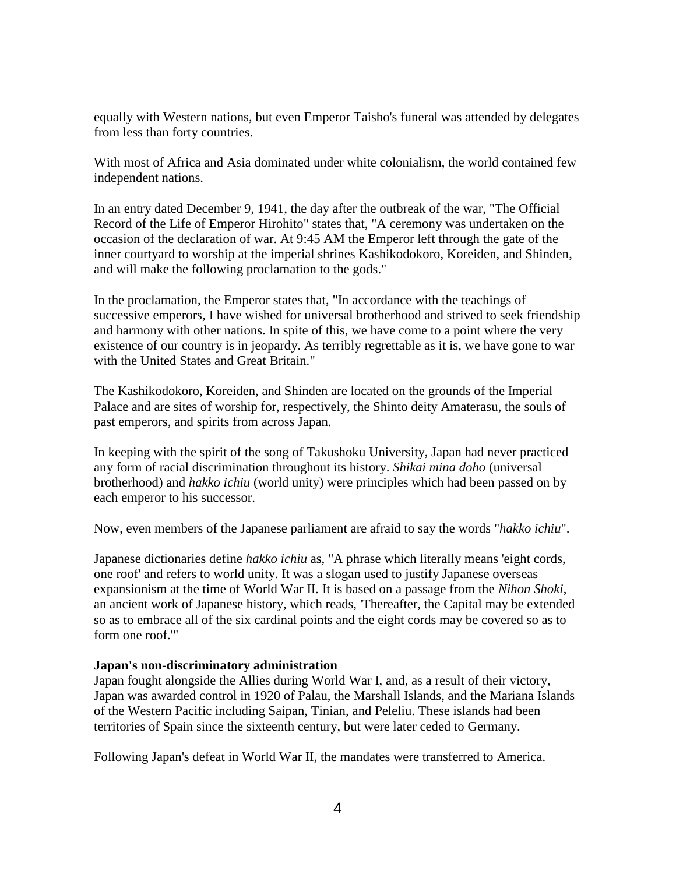equally with Western nations, but even Emperor Taisho's funeral was attended by delegates from less than forty countries.

With most of Africa and Asia dominated under white colonialism, the world contained few independent nations.

In an entry dated December 9, 1941, the day after the outbreak of the war, "The Official Record of the Life of Emperor Hirohito" states that, "A ceremony was undertaken on the occasion of the declaration of war. At 9:45 AM the Emperor left through the gate of the inner courtyard to worship at the imperial shrines Kashikodokoro, Koreiden, and Shinden, and will make the following proclamation to the gods."

In the proclamation, the Emperor states that, "In accordance with the teachings of successive emperors, I have wished for universal brotherhood and strived to seek friendship and harmony with other nations. In spite of this, we have come to a point where the very existence of our country is in jeopardy. As terribly regrettable as it is, we have gone to war with the United States and Great Britain."

The Kashikodokoro, Koreiden, and Shinden are located on the grounds of the Imperial Palace and are sites of worship for, respectively, the Shinto deity Amaterasu, the souls of past emperors, and spirits from across Japan.

In keeping with the spirit of the song of Takushoku University, Japan had never practiced any form of racial discrimination throughout its history. *Shikai mina doho* (universal brotherhood) and *hakko ichiu* (world unity) were principles which had been passed on by each emperor to his successor.

Now, even members of the Japanese parliament are afraid to say the words "*hakko ichiu*".

Japanese dictionaries define *hakko ichiu* as, "A phrase which literally means 'eight cords, one roof' and refers to world unity. It was a slogan used to justify Japanese overseas expansionism at the time of World War II. It is based on a passage from the *Nihon Shoki*, an ancient work of Japanese history, which reads, 'Thereafter, the Capital may be extended so as to embrace all of the six cardinal points and the eight cords may be covered so as to form one roof.'"

## **Japan's non-discriminatory administration**

Japan fought alongside the Allies during World War I, and, as a result of their victory, Japan was awarded control in 1920 of Palau, the Marshall Islands, and the Mariana Islands of the Western Pacific including Saipan, Tinian, and Peleliu. These islands had been territories of Spain since the sixteenth century, but were later ceded to Germany.

Following Japan's defeat in World War II, the mandates were transferred to America.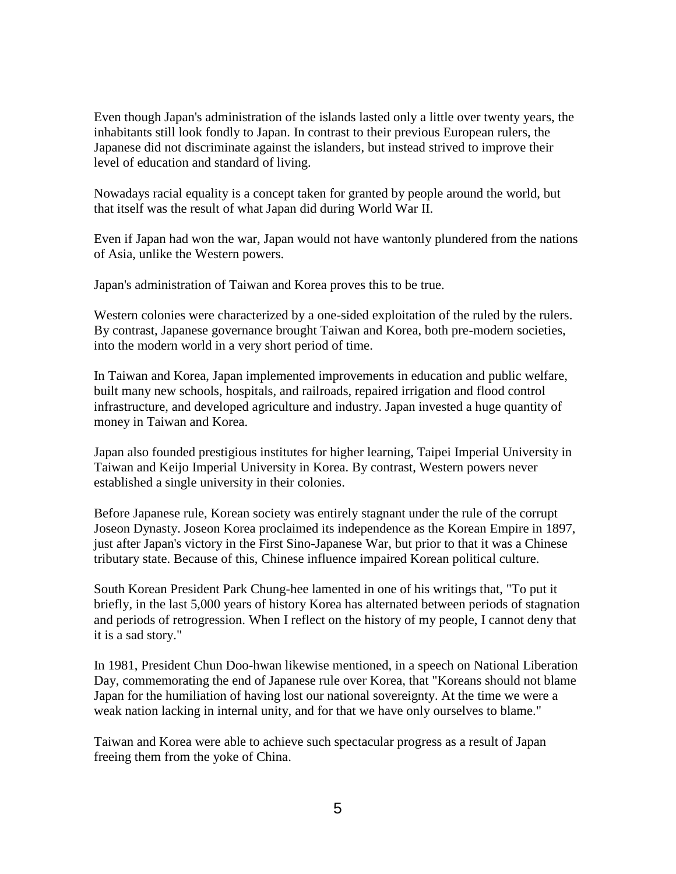Even though Japan's administration of the islands lasted only a little over twenty years, the inhabitants still look fondly to Japan. In contrast to their previous European rulers, the Japanese did not discriminate against the islanders, but instead strived to improve their level of education and standard of living.

Nowadays racial equality is a concept taken for granted by people around the world, but that itself was the result of what Japan did during World War II.

Even if Japan had won the war, Japan would not have wantonly plundered from the nations of Asia, unlike the Western powers.

Japan's administration of Taiwan and Korea proves this to be true.

Western colonies were characterized by a one-sided exploitation of the ruled by the rulers. By contrast, Japanese governance brought Taiwan and Korea, both pre-modern societies, into the modern world in a very short period of time.

In Taiwan and Korea, Japan implemented improvements in education and public welfare, built many new schools, hospitals, and railroads, repaired irrigation and flood control infrastructure, and developed agriculture and industry. Japan invested a huge quantity of money in Taiwan and Korea.

Japan also founded prestigious institutes for higher learning, Taipei Imperial University in Taiwan and Keijo Imperial University in Korea. By contrast, Western powers never established a single university in their colonies.

Before Japanese rule, Korean society was entirely stagnant under the rule of the corrupt Joseon Dynasty. Joseon Korea proclaimed its independence as the Korean Empire in 1897, just after Japan's victory in the First Sino-Japanese War, but prior to that it was a Chinese tributary state. Because of this, Chinese influence impaired Korean political culture.

South Korean President Park Chung-hee lamented in one of his writings that, "To put it briefly, in the last 5,000 years of history Korea has alternated between periods of stagnation and periods of retrogression. When I reflect on the history of my people, I cannot deny that it is a sad story."

In 1981, President Chun Doo-hwan likewise mentioned, in a speech on National Liberation Day, commemorating the end of Japanese rule over Korea, that "Koreans should not blame Japan for the humiliation of having lost our national sovereignty. At the time we were a weak nation lacking in internal unity, and for that we have only ourselves to blame."

Taiwan and Korea were able to achieve such spectacular progress as a result of Japan freeing them from the yoke of China.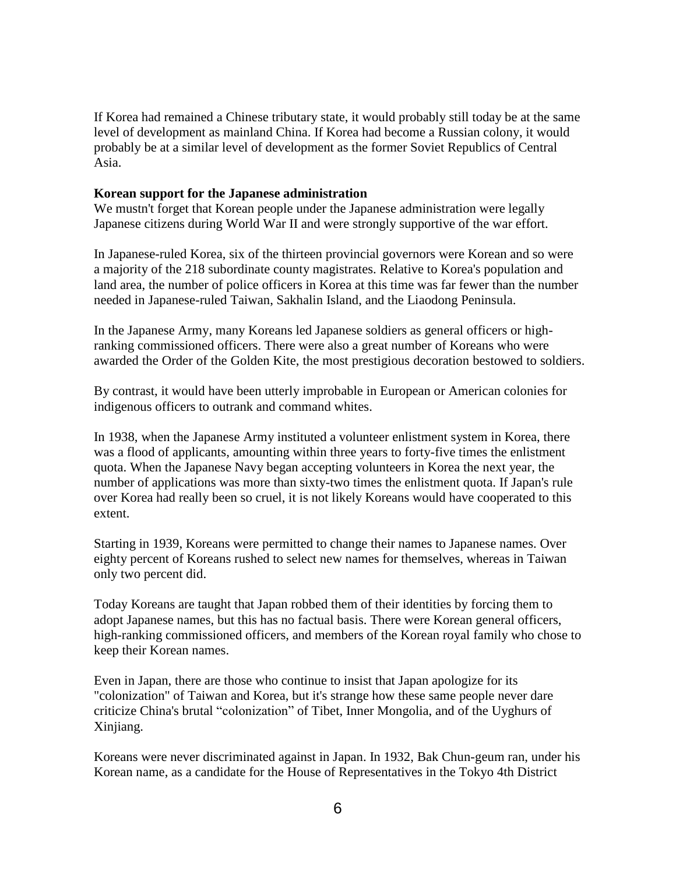If Korea had remained a Chinese tributary state, it would probably still today be at the same level of development as mainland China. If Korea had become a Russian colony, it would probably be at a similar level of development as the former Soviet Republics of Central Asia.

#### **Korean support for the Japanese administration**

We mustn't forget that Korean people under the Japanese administration were legally Japanese citizens during World War II and were strongly supportive of the war effort.

In Japanese-ruled Korea, six of the thirteen provincial governors were Korean and so were a majority of the 218 subordinate county magistrates. Relative to Korea's population and land area, the number of police officers in Korea at this time was far fewer than the number needed in Japanese-ruled Taiwan, Sakhalin Island, and the Liaodong Peninsula.

In the Japanese Army, many Koreans led Japanese soldiers as general officers or highranking commissioned officers. There were also a great number of Koreans who were awarded the Order of the Golden Kite, the most prestigious decoration bestowed to soldiers.

By contrast, it would have been utterly improbable in European or American colonies for indigenous officers to outrank and command whites.

In 1938, when the Japanese Army instituted a volunteer enlistment system in Korea, there was a flood of applicants, amounting within three years to forty-five times the enlistment quota. When the Japanese Navy began accepting volunteers in Korea the next year, the number of applications was more than sixty-two times the enlistment quota. If Japan's rule over Korea had really been so cruel, it is not likely Koreans would have cooperated to this extent.

Starting in 1939, Koreans were permitted to change their names to Japanese names. Over eighty percent of Koreans rushed to select new names for themselves, whereas in Taiwan only two percent did.

Today Koreans are taught that Japan robbed them of their identities by forcing them to adopt Japanese names, but this has no factual basis. There were Korean general officers, high-ranking commissioned officers, and members of the Korean royal family who chose to keep their Korean names.

Even in Japan, there are those who continue to insist that Japan apologize for its "colonization" of Taiwan and Korea, but it's strange how these same people never dare criticize China's brutal "colonization" of Tibet, Inner Mongolia, and of the Uyghurs of Xinjiang.

Koreans were never discriminated against in Japan. In 1932, Bak Chun-geum ran, under his Korean name, as a candidate for the House of Representatives in the Tokyo 4th District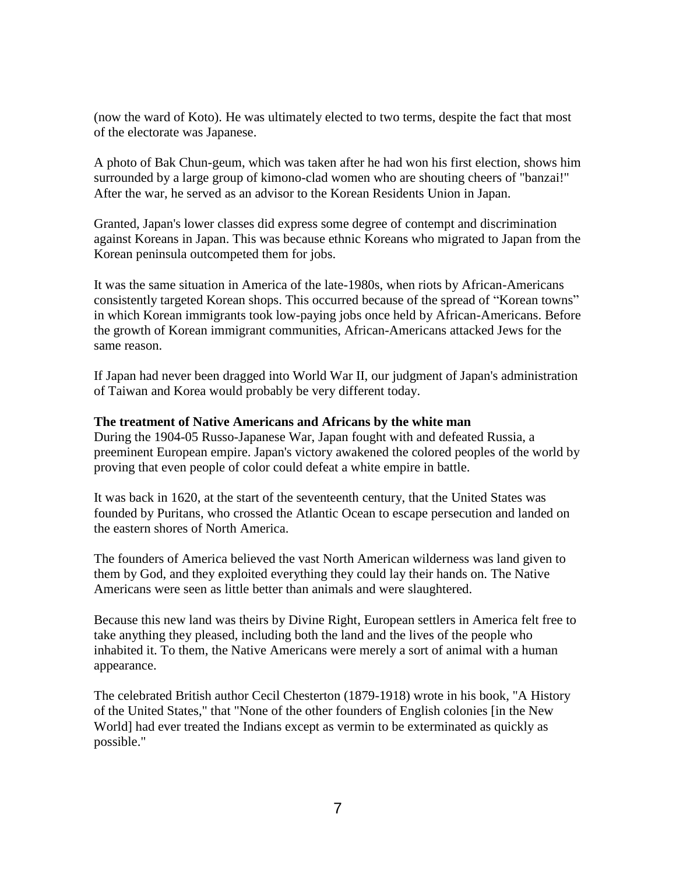(now the ward of Koto). He was ultimately elected to two terms, despite the fact that most of the electorate was Japanese.

A photo of Bak Chun-geum, which was taken after he had won his first election, shows him surrounded by a large group of kimono-clad women who are shouting cheers of "banzai!" After the war, he served as an advisor to the Korean Residents Union in Japan.

Granted, Japan's lower classes did express some degree of contempt and discrimination against Koreans in Japan. This was because ethnic Koreans who migrated to Japan from the Korean peninsula outcompeted them for jobs.

It was the same situation in America of the late-1980s, when riots by African-Americans consistently targeted Korean shops. This occurred because of the spread of "Korean towns" in which Korean immigrants took low-paying jobs once held by African-Americans. Before the growth of Korean immigrant communities, African-Americans attacked Jews for the same reason.

If Japan had never been dragged into World War II, our judgment of Japan's administration of Taiwan and Korea would probably be very different today.

### **The treatment of Native Americans and Africans by the white man**

During the 1904-05 Russo-Japanese War, Japan fought with and defeated Russia, a preeminent European empire. Japan's victory awakened the colored peoples of the world by proving that even people of color could defeat a white empire in battle.

It was back in 1620, at the start of the seventeenth century, that the United States was founded by Puritans, who crossed the Atlantic Ocean to escape persecution and landed on the eastern shores of North America.

The founders of America believed the vast North American wilderness was land given to them by God, and they exploited everything they could lay their hands on. The Native Americans were seen as little better than animals and were slaughtered.

Because this new land was theirs by Divine Right, European settlers in America felt free to take anything they pleased, including both the land and the lives of the people who inhabited it. To them, the Native Americans were merely a sort of animal with a human appearance.

The celebrated British author Cecil Chesterton (1879-1918) wrote in his book, "A History of the United States," that "None of the other founders of English colonies [in the New World] had ever treated the Indians except as vermin to be exterminated as quickly as possible."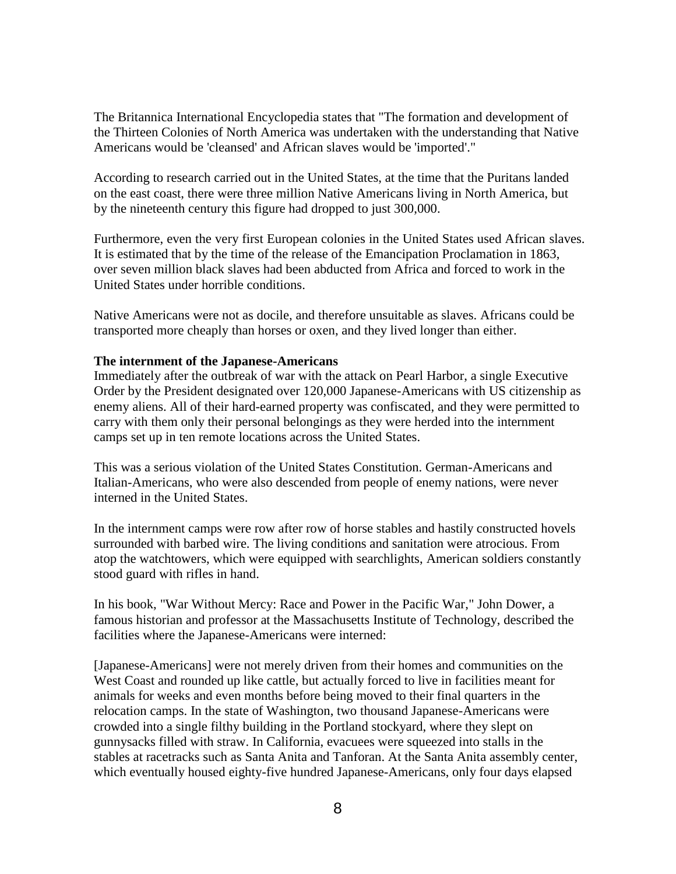The Britannica International Encyclopedia states that "The formation and development of the Thirteen Colonies of North America was undertaken with the understanding that Native Americans would be 'cleansed' and African slaves would be 'imported'."

According to research carried out in the United States, at the time that the Puritans landed on the east coast, there were three million Native Americans living in North America, but by the nineteenth century this figure had dropped to just 300,000.

Furthermore, even the very first European colonies in the United States used African slaves. It is estimated that by the time of the release of the Emancipation Proclamation in 1863, over seven million black slaves had been abducted from Africa and forced to work in the United States under horrible conditions.

Native Americans were not as docile, and therefore unsuitable as slaves. Africans could be transported more cheaply than horses or oxen, and they lived longer than either.

#### **The internment of the Japanese-Americans**

Immediately after the outbreak of war with the attack on Pearl Harbor, a single Executive Order by the President designated over 120,000 Japanese-Americans with US citizenship as enemy aliens. All of their hard-earned property was confiscated, and they were permitted to carry with them only their personal belongings as they were herded into the internment camps set up in ten remote locations across the United States.

This was a serious violation of the United States Constitution. German-Americans and Italian-Americans, who were also descended from people of enemy nations, were never interned in the United States.

In the internment camps were row after row of horse stables and hastily constructed hovels surrounded with barbed wire. The living conditions and sanitation were atrocious. From atop the watchtowers, which were equipped with searchlights, American soldiers constantly stood guard with rifles in hand.

In his book, "War Without Mercy: Race and Power in the Pacific War," John Dower, a famous historian and professor at the Massachusetts Institute of Technology, described the facilities where the Japanese-Americans were interned:

[Japanese-Americans] were not merely driven from their homes and communities on the West Coast and rounded up like cattle, but actually forced to live in facilities meant for animals for weeks and even months before being moved to their final quarters in the relocation camps. In the state of Washington, two thousand Japanese-Americans were crowded into a single filthy building in the Portland stockyard, where they slept on gunnysacks filled with straw. In California, evacuees were squeezed into stalls in the stables at racetracks such as Santa Anita and Tanforan. At the Santa Anita assembly center, which eventually housed eighty-five hundred Japanese-Americans, only four days elapsed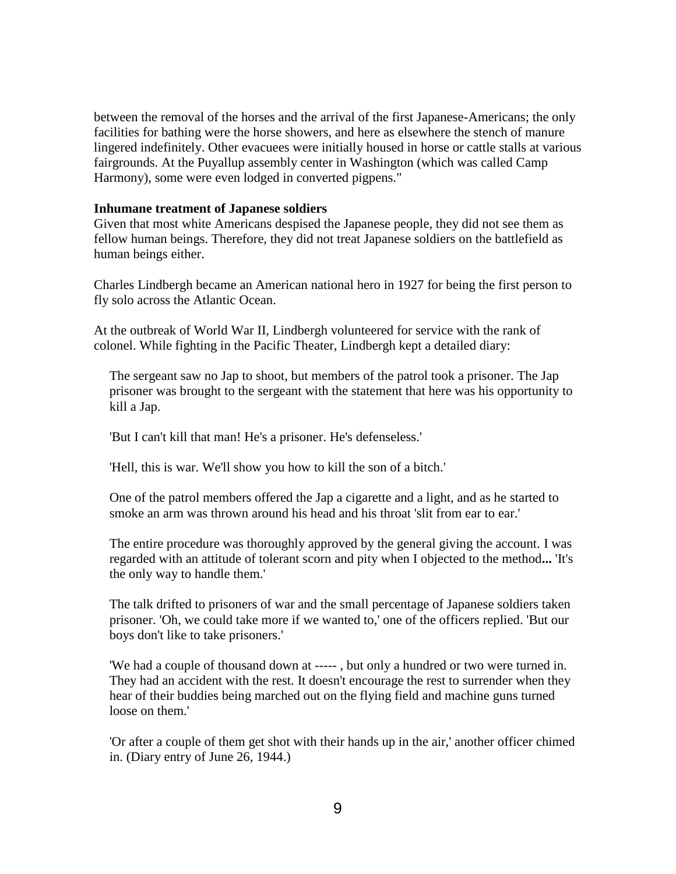between the removal of the horses and the arrival of the first Japanese-Americans; the only facilities for bathing were the horse showers, and here as elsewhere the stench of manure lingered indefinitely. Other evacuees were initially housed in horse or cattle stalls at various fairgrounds. At the Puyallup assembly center in Washington (which was called Camp Harmony), some were even lodged in converted pigpens."

#### **Inhumane treatment of Japanese soldiers**

Given that most white Americans despised the Japanese people, they did not see them as fellow human beings. Therefore, they did not treat Japanese soldiers on the battlefield as human beings either.

Charles Lindbergh became an American national hero in 1927 for being the first person to fly solo across the Atlantic Ocean.

At the outbreak of World War II, Lindbergh volunteered for service with the rank of colonel. While fighting in the Pacific Theater, Lindbergh kept a detailed diary:

The sergeant saw no Jap to shoot, but members of the patrol took a prisoner. The Jap prisoner was brought to the sergeant with the statement that here was his opportunity to kill a Jap.

'But I can't kill that man! He's a prisoner. He's defenseless.'

'Hell, this is war. We'll show you how to kill the son of a bitch.'

One of the patrol members offered the Jap a cigarette and a light, and as he started to smoke an arm was thrown around his head and his throat 'slit from ear to ear.'

The entire procedure was thoroughly approved by the general giving the account. I was regarded with an attitude of tolerant scorn and pity when I objected to the method**...** 'It's the only way to handle them.'

The talk drifted to prisoners of war and the small percentage of Japanese soldiers taken prisoner. 'Oh, we could take more if we wanted to,' one of the officers replied. 'But our boys don't like to take prisoners.'

'We had a couple of thousand down at ----- , but only a hundred or two were turned in. They had an accident with the rest. It doesn't encourage the rest to surrender when they hear of their buddies being marched out on the flying field and machine guns turned loose on them.'

'Or after a couple of them get shot with their hands up in the air,' another officer chimed in. (Diary entry of June 26, 1944.)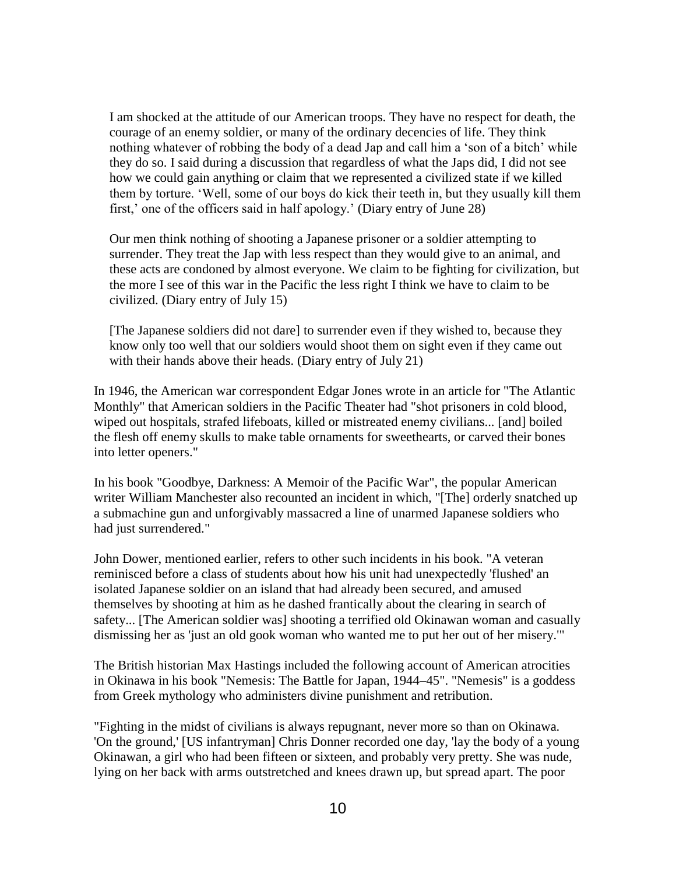I am shocked at the attitude of our American troops. They have no respect for death, the courage of an enemy soldier, or many of the ordinary decencies of life. They think nothing whatever of robbing the body of a dead Jap and call him a 'son of a bitch' while they do so. I said during a discussion that regardless of what the Japs did, I did not see how we could gain anything or claim that we represented a civilized state if we killed them by torture. 'Well, some of our boys do kick their teeth in, but they usually kill them first,' one of the officers said in half apology.' (Diary entry of June 28)

Our men think nothing of shooting a Japanese prisoner or a soldier attempting to surrender. They treat the Jap with less respect than they would give to an animal, and these acts are condoned by almost everyone. We claim to be fighting for civilization, but the more I see of this war in the Pacific the less right I think we have to claim to be civilized. (Diary entry of July 15)

[The Japanese soldiers did not dare] to surrender even if they wished to, because they know only too well that our soldiers would shoot them on sight even if they came out with their hands above their heads. (Diary entry of July 21)

In 1946, the American war correspondent Edgar Jones wrote in an article for "The Atlantic Monthly" that American soldiers in the Pacific Theater had "shot prisoners in cold blood, wiped out hospitals, strafed lifeboats, killed or mistreated enemy civilians... [and] boiled the flesh off enemy skulls to make table ornaments for sweethearts, or carved their bones into letter openers."

In his book "Goodbye, Darkness: A Memoir of the Pacific War", the popular American writer William Manchester also recounted an incident in which, "[The] orderly snatched up a submachine gun and unforgivably massacred a line of unarmed Japanese soldiers who had just surrendered."

John Dower, mentioned earlier, refers to other such incidents in his book. "A veteran reminisced before a class of students about how his unit had unexpectedly 'flushed' an isolated Japanese soldier on an island that had already been secured, and amused themselves by shooting at him as he dashed frantically about the clearing in search of safety... [The American soldier was] shooting a terrified old Okinawan woman and casually dismissing her as 'just an old gook woman who wanted me to put her out of her misery.'"

The British historian Max Hastings included the following account of American atrocities in Okinawa in his book "Nemesis: The Battle for Japan, 1944–45". "Nemesis" is a goddess from Greek mythology who administers divine punishment and retribution.

"Fighting in the midst of civilians is always repugnant, never more so than on Okinawa. 'On the ground,' [US infantryman] Chris Donner recorded one day, 'lay the body of a young Okinawan, a girl who had been fifteen or sixteen, and probably very pretty. She was nude, lying on her back with arms outstretched and knees drawn up, but spread apart. The poor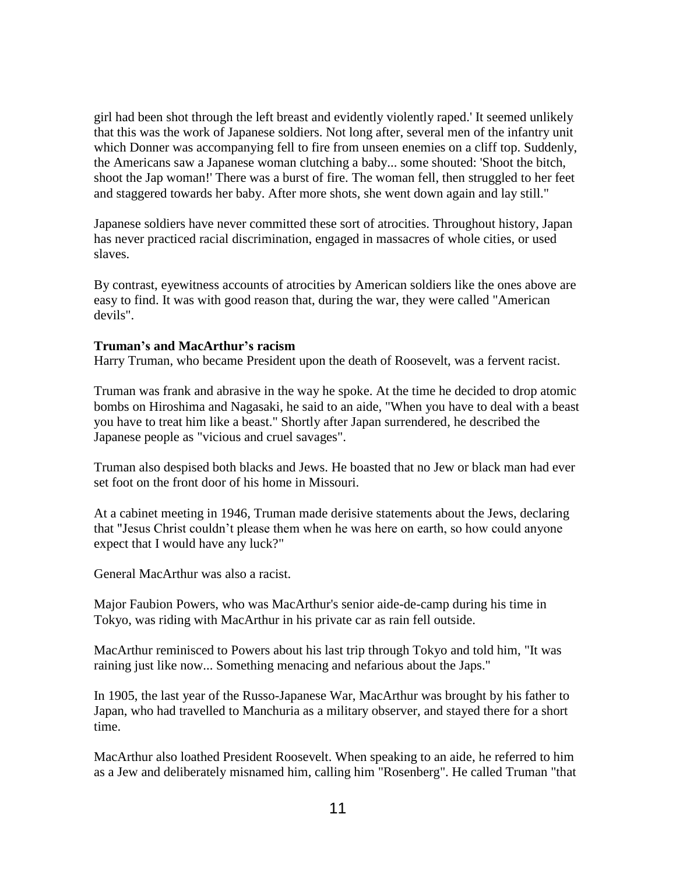girl had been shot through the left breast and evidently violently raped.' It seemed unlikely that this was the work of Japanese soldiers. Not long after, several men of the infantry unit which Donner was accompanying fell to fire from unseen enemies on a cliff top. Suddenly, the Americans saw a Japanese woman clutching a baby... some shouted: 'Shoot the bitch, shoot the Jap woman!' There was a burst of fire. The woman fell, then struggled to her feet and staggered towards her baby. After more shots, she went down again and lay still."

Japanese soldiers have never committed these sort of atrocities. Throughout history, Japan has never practiced racial discrimination, engaged in massacres of whole cities, or used slaves.

By contrast, eyewitness accounts of atrocities by American soldiers like the ones above are easy to find. It was with good reason that, during the war, they were called "American devils".

### **Truman's and MacArthur's racism**

Harry Truman, who became President upon the death of Roosevelt, was a fervent racist.

Truman was frank and abrasive in the way he spoke. At the time he decided to drop atomic bombs on Hiroshima and Nagasaki, he said to an aide, "When you have to deal with a beast you have to treat him like a beast." Shortly after Japan surrendered, he described the Japanese people as "vicious and cruel savages".

Truman also despised both blacks and Jews. He boasted that no Jew or black man had ever set foot on the front door of his home in Missouri.

At a cabinet meeting in 1946, Truman made derisive statements about the Jews, declaring that "Jesus Christ couldn't please them when he was here on earth, so how could anyone expect that I would have any luck?"

General MacArthur was also a racist.

Major Faubion Powers, who was MacArthur's senior aide-de-camp during his time in Tokyo, was riding with MacArthur in his private car as rain fell outside.

MacArthur reminisced to Powers about his last trip through Tokyo and told him, "It was raining just like now... Something menacing and nefarious about the Japs."

In 1905, the last year of the Russo-Japanese War, MacArthur was brought by his father to Japan, who had travelled to Manchuria as a military observer, and stayed there for a short time.

MacArthur also loathed President Roosevelt. When speaking to an aide, he referred to him as a Jew and deliberately misnamed him, calling him "Rosenberg". He called Truman "that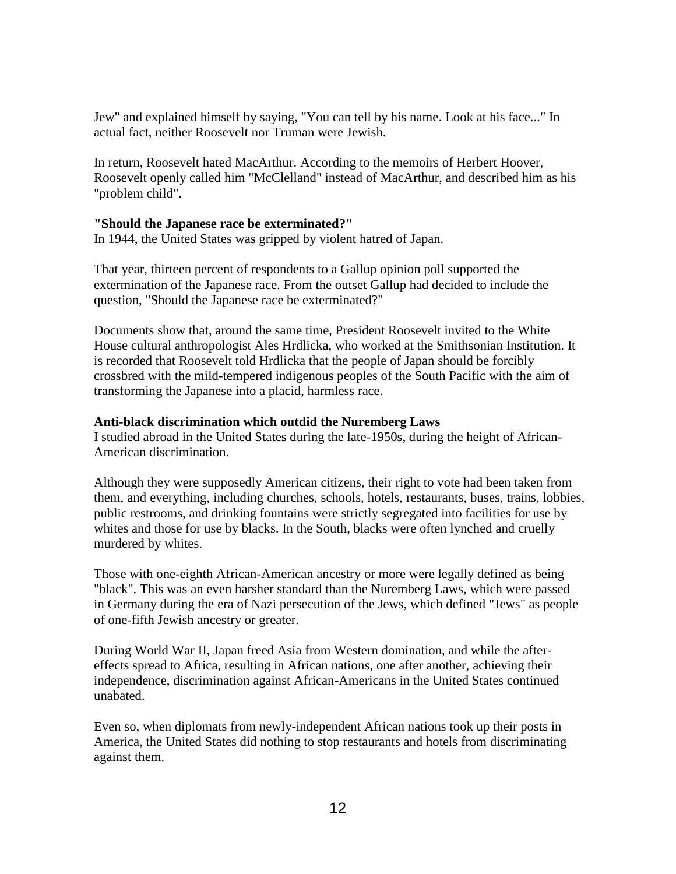Jew" and explained himself by saying, "You can tell by his name. Look at his face..." In actual fact, neither Roosevelt nor Truman were Jewish.

In return, Roosevelt hated MacArthur. According to the memoirs of Herbert Hoover, Roosevelt openly called him "McClelland" instead of MacArthur, and described him as his "problem child".

### **"Should the Japanese race be exterminated?"**

In 1944, the United States was gripped by violent hatred of Japan.

That year, thirteen percent of respondents to a Gallup opinion poll supported the extermination of the Japanese race. From the outset Gallup had decided to include the question, "Should the Japanese race be exterminated?"

Documents show that, around the same time, President Roosevelt invited to the White House cultural anthropologist Ales Hrdlicka, who worked at the Smithsonian Institution. It is recorded that Roosevelt told Hrdlicka that the people of Japan should be forcibly crossbred with the mild-tempered indigenous peoples of the South Pacific with the aim of transforming the Japanese into a placid, harmless race.

### **Anti-black discrimination which outdid the Nuremberg Laws**

I studied abroad in the United States during the late-1950s, during the height of African-American discrimination.

Although they were supposedly American citizens, their right to vote had been taken from them, and everything, including churches, schools, hotels, restaurants, buses, trains, lobbies, public restrooms, and drinking fountains were strictly segregated into facilities for use by whites and those for use by blacks. In the South, blacks were often lynched and cruelly murdered by whites.

Those with one-eighth African-American ancestry or more were legally defined as being "black". This was an even harsher standard than the Nuremberg Laws, which were passed in Germany during the era of Nazi persecution of the Jews, which defined "Jews" as people of one-fifth Jewish ancestry or greater.

During World War II, Japan freed Asia from Western domination, and while the aftereffects spread to Africa, resulting in African nations, one after another, achieving their independence, discrimination against African-Americans in the United States continued unabated.

Even so, when diplomats from newly-independent African nations took up their posts in America, the United States did nothing to stop restaurants and hotels from discriminating against them.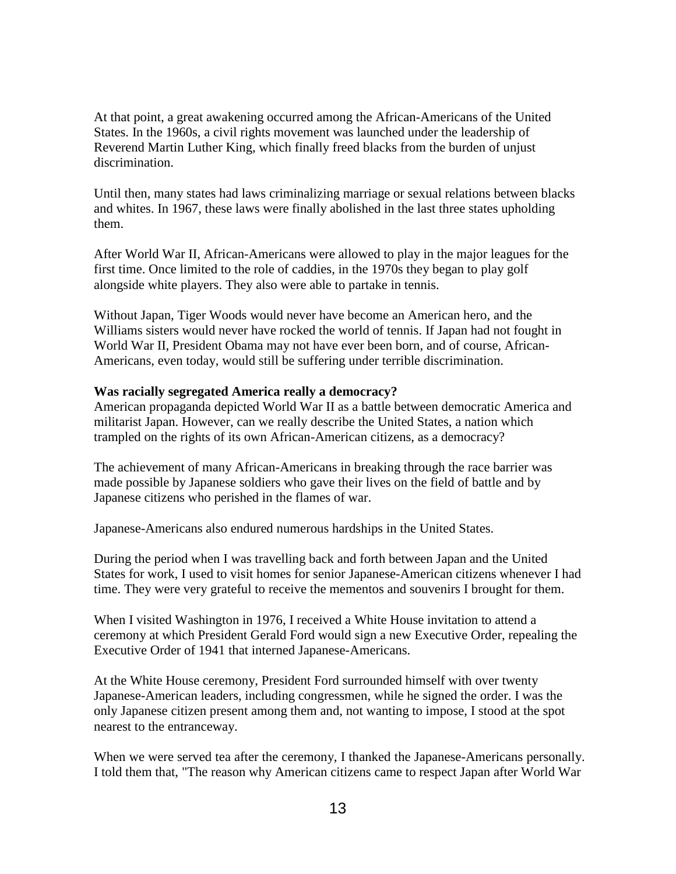At that point, a great awakening occurred among the African-Americans of the United States. In the 1960s, a civil rights movement was launched under the leadership of Reverend Martin Luther King, which finally freed blacks from the burden of unjust discrimination.

Until then, many states had laws criminalizing marriage or sexual relations between blacks and whites. In 1967, these laws were finally abolished in the last three states upholding them.

After World War II, African-Americans were allowed to play in the major leagues for the first time. Once limited to the role of caddies, in the 1970s they began to play golf alongside white players. They also were able to partake in tennis.

Without Japan, Tiger Woods would never have become an American hero, and the Williams sisters would never have rocked the world of tennis. If Japan had not fought in World War II, President Obama may not have ever been born, and of course, African-Americans, even today, would still be suffering under terrible discrimination.

#### **Was racially segregated America really a democracy?**

American propaganda depicted World War II as a battle between democratic America and militarist Japan. However, can we really describe the United States, a nation which trampled on the rights of its own African-American citizens, as a democracy?

The achievement of many African-Americans in breaking through the race barrier was made possible by Japanese soldiers who gave their lives on the field of battle and by Japanese citizens who perished in the flames of war.

Japanese-Americans also endured numerous hardships in the United States.

During the period when I was travelling back and forth between Japan and the United States for work, I used to visit homes for senior Japanese-American citizens whenever I had time. They were very grateful to receive the mementos and souvenirs I brought for them.

When I visited Washington in 1976, I received a White House invitation to attend a ceremony at which President Gerald Ford would sign a new Executive Order, repealing the Executive Order of 1941 that interned Japanese-Americans.

At the White House ceremony, President Ford surrounded himself with over twenty Japanese-American leaders, including congressmen, while he signed the order. I was the only Japanese citizen present among them and, not wanting to impose, I stood at the spot nearest to the entranceway.

When we were served tea after the ceremony, I thanked the Japanese-Americans personally. I told them that, "The reason why American citizens came to respect Japan after World War